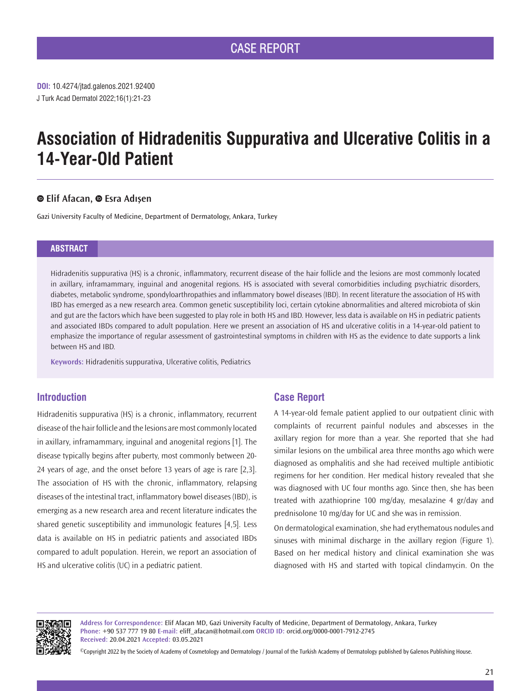# **Association of Hidradenitis Suppurativa and Ulcerative Colitis in a 14-Year-Old Patient**

## **Elif Afacan,Esra Adışen**

Gazi University Faculty of Medicine, Department of Dermatology, Ankara, Turkey

## **ABSTRACT**

Hidradenitis suppurativa (HS) is a chronic, inflammatory, recurrent disease of the hair follicle and the lesions are most commonly located in axillary, inframammary, inguinal and anogenital regions. HS is associated with several comorbidities including psychiatric disorders, diabetes, metabolic syndrome, spondyloarthropathies and inflammatory bowel diseases (IBD). In recent literature the association of HS with IBD has emerged as a new research area. Common genetic susceptibility loci, certain cytokine abnormalities and altered microbiota of skin and gut are the factors which have been suggested to play role in both HS and IBD. However, less data is available on HS in pediatric patients and associated IBDs compared to adult population. Here we present an association of HS and ulcerative colitis in a 14-year-old patient to emphasize the importance of regular assessment of gastrointestinal symptoms in children with HS as the evidence to date supports a link between HS and IBD.

**Keywords:** Hidradenitis suppurativa, Ulcerative colitis, Pediatrics

## **Introduction**

Hidradenitis suppurativa (HS) is a chronic, inflammatory, recurrent disease of the hair follicle and the lesions are most commonly located in axillary, inframammary, inguinal and anogenital regions [1]. The disease typically begins after puberty, most commonly between 20- 24 years of age, and the onset before 13 years of age is rare [2,3]. The association of HS with the chronic, inflammatory, relapsing diseases of the intestinal tract, inflammatory bowel diseases (IBD), is emerging as a new research area and recent literature indicates the shared genetic susceptibility and immunologic features [4,5]. Less data is available on HS in pediatric patients and associated IBDs compared to adult population. Herein, we report an association of HS and ulcerative colitis (UC) in a pediatric patient.

# **Case Report**

A 14-year-old female patient applied to our outpatient clinic with complaints of recurrent painful nodules and abscesses in the axillary region for more than a year. She reported that she had similar lesions on the umbilical area three months ago which were diagnosed as omphalitis and she had received multiple antibiotic regimens for her condition. Her medical history revealed that she was diagnosed with UC four months ago. Since then, she has been treated with azathioprine 100 mg/day, mesalazine 4 gr/day and prednisolone 10 mg/day for UC and she was in remission.

On dermatological examination, she had erythematous nodules and sinuses with minimal discharge in the axillary region (Figure 1). Based on her medical history and clinical examination she was diagnosed with HS and started with topical clindamycin. On the



**Address for Correspondence:** Elif Afacan MD, Gazi University Faculty of Medicine, Department of Dermatology, Ankara, Turkey **Phone:** +90 537 777 19 80 **E-mail:** eliff\_afacan@hotmail.com **ORCID ID:** orcid.org/0000-0001-7912-2745 **Received:** 20.04.2021 **Accepted:** 03.05.2021

©Copyright 2022 by the Society of Academy of Cosmetology and Dermatology / Journal of the Turkish Academy of Dermatology published by Galenos Publishing House.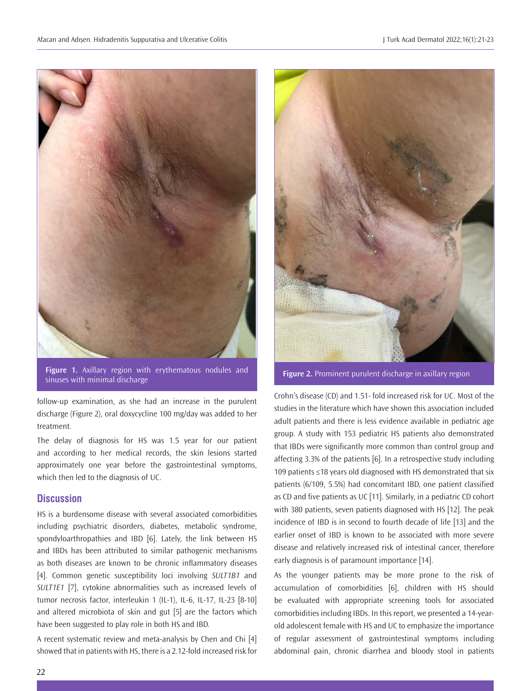

**Figure 1.** Axillary region with erythematous nodules and **Figure 1.** Axillary region with erythematous hoquies and **Figure 2.** Prominent purulent discharge in axillary region sinuses with minimal discharge

follow-up examination, as she had an increase in the purulent discharge (Figure 2), oral doxycycline 100 mg/day was added to her treatment.

The delay of diagnosis for HS was 1.5 year for our patient and according to her medical records, the skin lesions started approximately one year before the gastrointestinal symptoms, which then led to the diagnosis of UC.

## **Discussion**

HS is a burdensome disease with several associated comorbidities including psychiatric disorders, diabetes, metabolic syndrome, spondyloarthropathies and IBD [6]. Lately, the link between HS and IBDs has been attributed to similar pathogenic mechanisms as both diseases are known to be chronic inflammatory diseases [4]. Common genetic susceptibility loci involving *SULT1B1* and *SULT1E1* [7], cytokine abnormalities such as increased levels of tumor necrosis factor, interleukin 1 (IL-1), IL-6, IL-17, IL-23 [8-10] and altered microbiota of skin and gut [5] are the factors which have been suggested to play role in both HS and IBD.

A recent systematic review and meta-analysis by Chen and Chi [4] showed that in patients with HS, there is a 2.12-fold increased risk for



Crohn's disease (CD) and 1.51- fold increased risk for UC. Most of the studies in the literature which have shown this association included adult patients and there is less evidence available in pediatric age group. A study with 153 pediatric HS patients also demonstrated that IBDs were significantly more common than control group and affecting 3.3% of the patients [6]. In a retrospective study including 109 patients ≤18 years old diagnosed with HS demonstrated that six patients (6/109, 5.5%) had concomitant IBD, one patient classified as CD and five patients as UC [11]. Similarly, in a pediatric CD cohort with 380 patients, seven patients diagnosed with HS [12]. The peak incidence of IBD is in second to fourth decade of life [13] and the earlier onset of IBD is known to be associated with more severe disease and relatively increased risk of intestinal cancer, therefore early diagnosis is of paramount importance [14].

As the younger patients may be more prone to the risk of accumulation of comorbidities [6], children with HS should be evaluated with appropriate screening tools for associated comorbidities including IBDs. In this report, we presented a 14-yearold adolescent female with HS and UC to emphasize the importance of regular assessment of gastrointestinal symptoms including abdominal pain, chronic diarrhea and bloody stool in patients